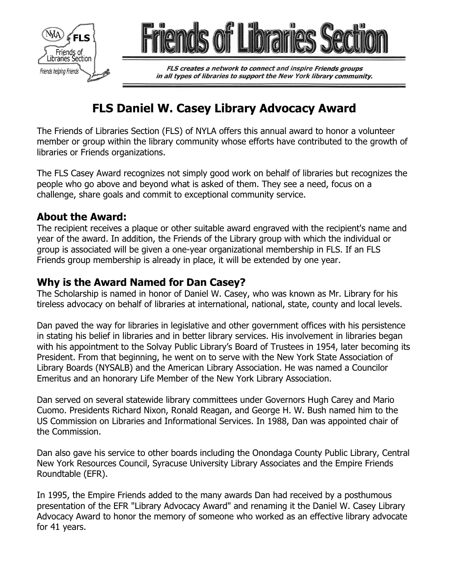



FLS creates a network to connect and inspire Friends groups in all types of libraries to support the New York library community.

# **FLS Daniel W. Casey Library Advocacy Award**

The Friends of Libraries Section (FLS) of NYLA offers this annual award to honor a volunteer member or group within the library community whose efforts have contributed to the growth of libraries or Friends organizations.

The FLS Casey Award recognizes not simply good work on behalf of libraries but recognizes the people who go above and beyond what is asked of them. They see a need, focus on a challenge, share goals and commit to exceptional community service.

## **About the Award:**

The recipient receives a plaque or other suitable award engraved with the recipient's name and year of the award. In addition, the Friends of the Library group with which the individual or group is associated will be given a one-year organizational membership in FLS. If an FLS Friends group membership is already in place, it will be extended by one year.

## **Why is the Award Named for Dan Casey?**

The Scholarship is named in honor of Daniel W. Casey, who was known as Mr. Library for his tireless advocacy on behalf of libraries at international, national, state, county and local levels.

Dan paved the way for libraries in legislative and other government offices with his persistence in stating his belief in libraries and in better library services. His involvement in libraries began with his appointment to the Solvay Public Library's Board of Trustees in 1954, later becoming its President. From that beginning, he went on to serve with the New York State Association of Library Boards (NYSALB) and the American Library Association. He was named a Councilor Emeritus and an honorary Life Member of the New York Library Association.

Dan served on several statewide library committees under Governors Hugh Carey and Mario Cuomo. Presidents Richard Nixon, Ronald Reagan, and George H. W. Bush named him to the US Commission on Libraries and Informational Services. In 1988, Dan was appointed chair of the Commission.

Dan also gave his service to other boards including the Onondaga County Public Library, Central New York Resources Council, Syracuse University Library Associates and the Empire Friends Roundtable (EFR).

In 1995, the Empire Friends added to the many awards Dan had received by a posthumous presentation of the EFR "Library Advocacy Award" and renaming it the Daniel W. Casey Library Advocacy Award to honor the memory of someone who worked as an effective library advocate for 41 years.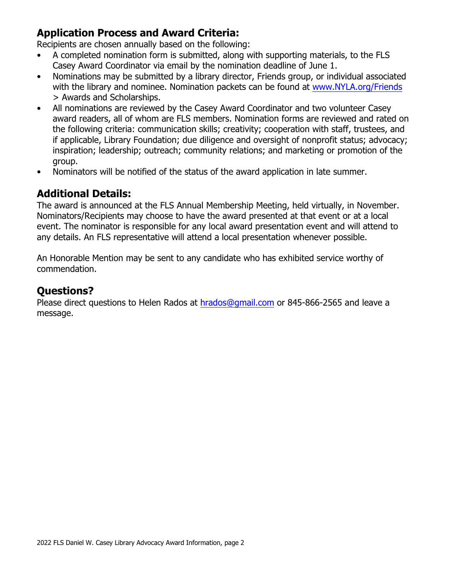# **Application Process and Award Criteria:**

Recipients are chosen annually based on the following:

- A completed nomination form is submitted, along with supporting materials, to the FLS Casey Award Coordinator via email by the nomination deadline of June 1.
- Nominations may be submitted by a library director, Friends group, or individual associated with the library and nominee. Nomination packets can be found at www.NYLA.org/Friends > Awards and Scholarships.
- All nominations are reviewed by the Casey Award Coordinator and two volunteer Casey award readers, all of whom are FLS members. Nomination forms are reviewed and rated on the following criteria: communication skills; creativity; cooperation with staff, trustees, and if applicable, Library Foundation; due diligence and oversight of nonprofit status; advocacy; inspiration; leadership; outreach; community relations; and marketing or promotion of the group.
- Nominators will be notified of the status of the award application in late summer.

## **Additional Details:**

The award is announced at the FLS Annual Membership Meeting, held virtually, in November. Nominators/Recipients may choose to have the award presented at that event or at a local event. The nominator is responsible for any local award presentation event and will attend to any details. An FLS representative will attend a local presentation whenever possible.

An *Honorable Mention* may be sent to any candidate who has exhibited service worthy of commendation.

## **Questions?**

Please direct questions to Helen Rados at [hrados@gmail.com](mailto:hrados@gmail.com) or 845-866-2565 and leave a message.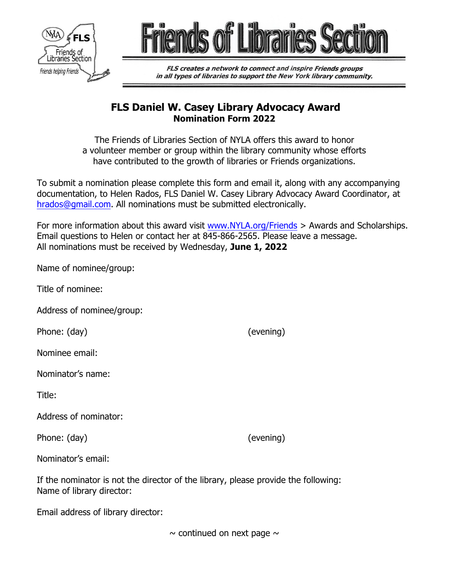



FLS creates a network to connect and inspire Friends groups in all types of libraries to support the New York library community.

#### **FLS Daniel W. Casey Library Advocacy Award Nomination Form 2022**

The Friends of Libraries Section of NYLA offers this award to honor a volunteer member or group within the library community whose efforts have contributed to the growth of libraries or Friends organizations.

To submit a nomination please complete this form and email it, along with any accompanying documentation, to Helen Rados, FLS Daniel W. Casey Library Advocacy Award Coordinator, at [hrados@gmail.com](mailto:hrados@gmail.com). All nominations must be submitted electronically.

For more information about this award visit [www.NYLA.org/Friends](http://www.nyla.org/friends) > Awards and Scholarships. Email questions to Helen or contact her at 845-866-2565. Please leave a message. All nominations must be received by Wednesday, **June 1, 2022**

| Name of nominee/group:                                                             |           |
|------------------------------------------------------------------------------------|-----------|
| Title of nominee:                                                                  |           |
| Address of nominee/group:                                                          |           |
| Phone: (day)                                                                       | (evening) |
| Nominee email:                                                                     |           |
| Nominator's name:                                                                  |           |
| Title:                                                                             |           |
| Address of nominator:                                                              |           |
| Phone: (day)                                                                       | (evening) |
| Nominator's email:                                                                 |           |
| If the nominator is not the director of the library, please provide the following: |           |

Email address of library director:

Name of library director:

 $\sim$  continued on next page  $\sim$